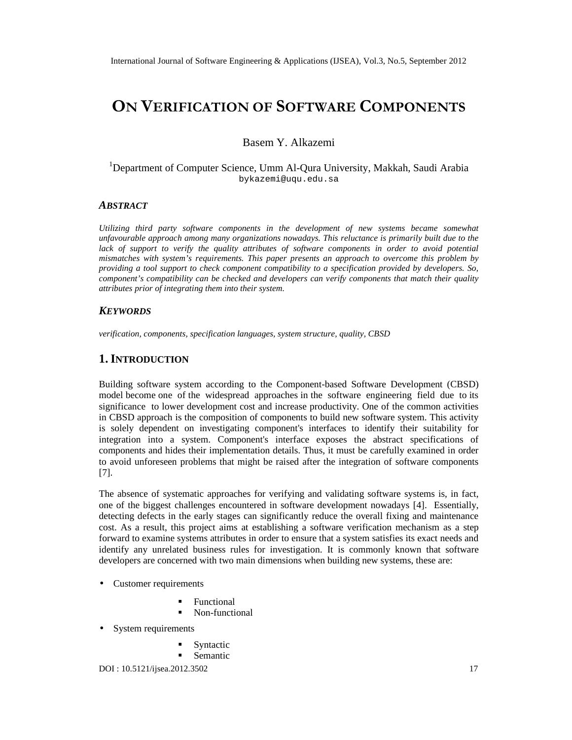# ON VERIFICATIONS OF FTWARE MPONENTS

# Basem Y. Alkazemi

### <sup>1</sup>Department ofComputerScience, Umm Al-Qura University, Makkah, Saudi Arabia [bykazemi@uqu.edu.s](mailto:bykazemi@uqu.edu)a

### **ABSTRACT**

Utilizing third party software components in thedevelopment of new systems became somewhat unfavourableapproach among many organizations nowadays. This reluctance is primarily built due to the lack of support to verify the quality attributes of software components in order to avoid potential mismatche with system€s requirements. This paper presents an approach to this problem by providing a tool support to check component compatibility to a specification provided by developers. So, component€s compatibility can be checked and developersent the proponents that match their quality attributes prior of integrating them into their system.

### **KEYWORDS**

verification, componentspecificationlanguage, system structurequality, CBSD

# 1.I NTRODUCTION

Building software system according to the Comporto as Software Development (CBSD) model become one of the widespread approaches in the software engineering field due to its significance to lower development cost and increase productivity. One of the common activities in CBSD approach is theomposition of components to build new software system. This activity is solely dependent on investigating component's interfaces to identify their suitability for integration into a system. Component's interface exposes the abstract specifications of components and hides their implementation details. Thus, it must be carefully examined in order to avoid unforeseen problems that might be raised after the integration of software components [7].

The absence of systematic approaches for verifying and valid stiffware systems is, in fact, one of the biggest challenges encountered in software development now dda Essentially, detecting defects in the early stages can significantly reduce the overall fixing and maintenance cost. As a result, this projectims at establishing softwareverification mechanismas a step forwardto examinesystemsattributesin order to ensure that a system satisfies its exact needs and identify any unrelated business rules for investigation is commonly known that softwar developers are concerned th two main dimensions when building new systems, these are:

Customer requirements

ð§ Functional ð§ Non-functional

System requirements

ð§ Syntactic ð§ Semantic

DOI : 10.5121/ijsea.2012.3502 17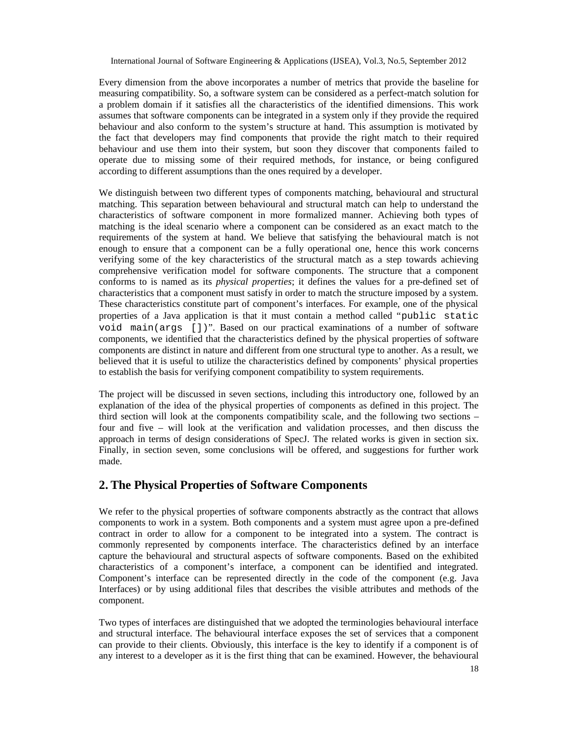Every dimension from the above incorporates a number of metrics that provide the baseline for measuring compatibility. So, a software system can be considered as a perfect-match solution for a problem domain if it satisfies all the characteristics of the identified dimensions. This work assumes that software components can be integrated in a system only if they provide the required behaviour and also conform to the system's structure at hand. This assumption is motivated by the fact that developers may find components that provide the right match to their required behaviour and use them into their system, but soon they discover that components failed to operate due to missing some of their required methods, for instance, or being configured according to different assumptions than the ones required by a developer.

We distinguish between two different types of components matching, behavioural and structural matching. This separation between behavioural and structural match can help to understand the characteristics of software component in more formalized manner. Achieving both types of matching is the ideal scenario where a component can be considered as an exact match to the requirements of the system at hand. We believe that satisfying the behavioural match is not enough to ensure that a component can be a fully operational one, hence this work concerns verifying some of the key characteristics of the structural match as a step towards achieving comprehensive verification model for software components. The structure that a component conforms to is named as its *physical properties*; it defines the values for a pre-defined set of characteristics that a component must satisfy in order to match the structure imposed by a system. These characteristics constitute part of component's interfaces. For example, one of the physical properties of a Java application is that it must contain a method called "public static void main(args [])". Based on our practical examinations of a number of software components, we identified that the characteristics defined by the physical properties of software components are distinct in nature and different from one structural type to another. As a result, we believed that it is useful to utilize the characteristics defined by components' physical properties to establish the basis for verifying component compatibility to system requirements.

The project will be discussed in seven sections, including this introductory one, followed by an explanation of the idea of the physical properties of components as defined in this project. The third section will look at the components compatibility scale, and the following two sections – four and five – will look at the verification and validation processes, and then discuss the approach in terms of design considerations of SpecJ. The related works is given in section six. Finally, in section seven, some conclusions will be offered, and suggestions for further work made.

# **2. The Physical Properties of Software Components**

We refer to the physical properties of software components abstractly as the contract that allows components to work in a system. Both components and a system must agree upon a pre-defined contract in order to allow for a component to be integrated into a system. The contract is commonly represented by components interface. The characteristics defined by an interface capture the behavioural and structural aspects of software components. Based on the exhibited characteristics of a component's interface, a component can be identified and integrated. Component's interface can be represented directly in the code of the component (e.g. Java Interfaces) or by using additional files that describes the visible attributes and methods of the component.

Two types of interfaces are distinguished that we adopted the terminologies behavioural interface and structural interface. The behavioural interface exposes the set of services that a component can provide to their clients. Obviously, this interface is the key to identify if a component is of any interest to a developer as it is the first thing that can be examined. However, the behavioural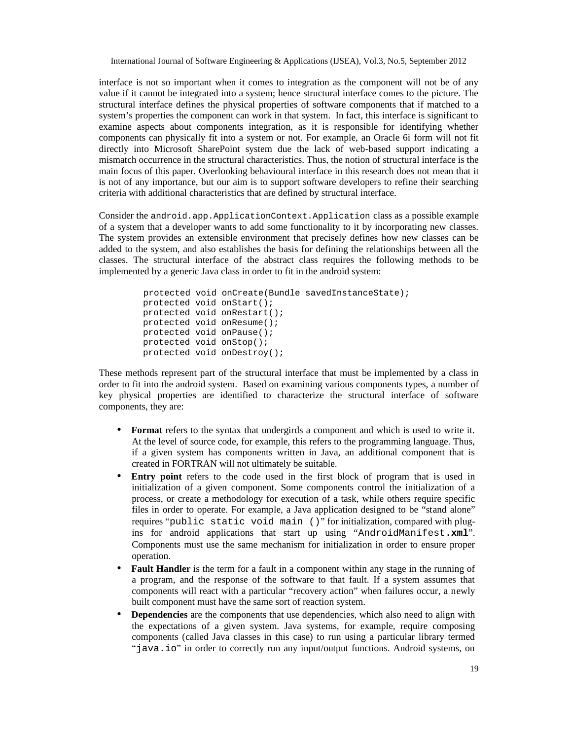interface is not so important when it comes to integration as the component will not be of any value if it cannot be integrated into a system; hence structural interface comes to the picture. The structural interface defines the physical properties of software components that if matched to a system's properties the component can work in that system. In fact, this interface is significant to examine aspects about components integration, as it is responsible for identifying whether components can physically fit into a system or not. For example, an Oracle 6i form will not fit directly into Microsoft SharePoint system due the lack of web-based support indicating a mismatch occurrence in the structural characteristics. Thus, the notion of structural interface is the main focus of this paper. Overlooking behavioural interface in this research does not mean that it is not of any importance, but our aim is to support software developers to refine their searching criteria with additional characteristics that are defined by structural interface.

Consider the android.app.ApplicationContext.Application class as a possible example of a system that a developer wants to add some functionality to it by incorporating new classes. The system provides an extensible environment that precisely defines how new classes can be added to the system, and also establishes the basis for defining the relationships between all the classes. The structural interface of the abstract class requires the following methods to be implemented by a generic Java class in order to fit in the android system:

```
protected void onCreate(Bundle savedInstanceState);
protected void onStart();
protected void onRestart();
protected void onResume();
protected void onPause();
protected void onStop();
protected void onDestroy();
```
These methods represent part of the structural interface that must be implemented by a class in order to fit into the android system. Based on examining various components types, a number of key physical properties are identified to characterize the structural interface of software components, they are:

- **Format** refers to the syntax that undergirds a component and which is used to write it. At the level of source code, for example, this refers to the programming language. Thus, if a given system has components written in Java, an additional component that is created in FORTRAN will not ultimately be suitable.
- **Entry point** refers to the code used in the first block of program that is used in initialization of a given component. Some components control the initialization of a process, or create a methodology for execution of a task, while others require specific files in order to operate. For example, a Java application designed to be "stand alone" requires "public static void main ()" for initialization, compared with plugins for android applications that start up using "AndroidManifest.**xml**". Components must use the same mechanism for initialization in order to ensure proper operation.
- **Fault Handler** is the term for a fault in a component within any stage in the running of a program, and the response of the software to that fault. If a system assumes that components will react with a particular "recovery action" when failures occur, a newly built component must have the same sort of reaction system.
- **Dependencies** are the components that use dependencies, which also need to align with the expectations of a given system. Java systems, for example, require composing components (called Java classes in this case) to run using a particular library termed "java.io" in order to correctly run any input/output functions. Android systems, on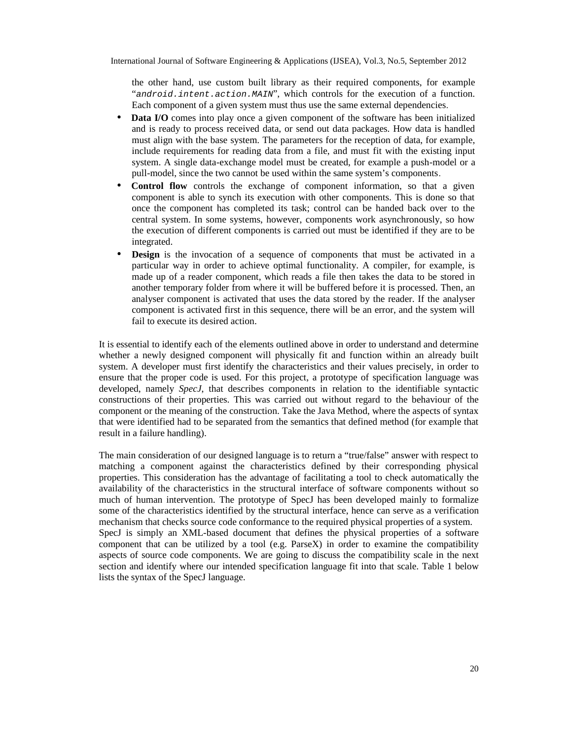the other hand, use custom built library as their required components, for example "android.intent.action.MAIN", which controls for the execution of a function. Each component of a given system must thus use the same external dependencies.

- **Data I/O** comes into play once a given component of the software has been initialized and is ready to process received data, or send out data packages. How data is handled must align with the base system. The parameters for the reception of data, for example, include requirements for reading data from a file, and must fit with the existing input system. A single data-exchange model must be created, for example a push-model or a pull-model, since the two cannot be used within the same system's components.
- **Control flow** controls the exchange of component information, so that a given component is able to synch its execution with other components. This is done so that once the component has completed its task; control can be handed back over to the central system. In some systems, however, components work asynchronously, so how the execution of different components is carried out must be identified if they are to be integrated.
- **Design** is the invocation of a sequence of components that must be activated in a particular way in order to achieve optimal functionality. A compiler, for example, is made up of a reader component, which reads a file then takes the data to be stored in another temporary folder from where it will be buffered before it is processed. Then, an analyser component is activated that uses the data stored by the reader. If the analyser component is activated first in this sequence, there will be an error, and the system will fail to execute its desired action.

It is essential to identify each of the elements outlined above in order to understand and determine whether a newly designed component will physically fit and function within an already built system. A developer must first identify the characteristics and their values precisely, in order to ensure that the proper code is used. For this project, a prototype of specification language was developed, namely *SpecJ*, that describes components in relation to the identifiable syntactic constructions of their properties. This was carried out without regard to the behaviour of the component or the meaning of the construction. Take the Java Method, where the aspects of syntax that were identified had to be separated from the semantics that defined method (for example that result in a failure handling).

The main consideration of our designed language is to return a "true/false" answer with respect to matching a component against the characteristics defined by their corresponding physical properties. This consideration has the advantage of facilitating a tool to check automatically the availability of the characteristics in the structural interface of software components without so much of human intervention. The prototype of SpecJ has been developed mainly to formalize some of the characteristics identified by the structural interface, hence can serve as a verification mechanism that checks source code conformance to the required physical properties of a system. SpecJ is simply an XML-based document that defines the physical properties of a software component that can be utilized by a tool (e.g. ParseX) in order to examine the compatibility aspects of source code components. We are going to discuss the compatibility scale in the next section and identify where our intended specification language fit into that scale. Table 1 below lists the syntax of the SpecJ language.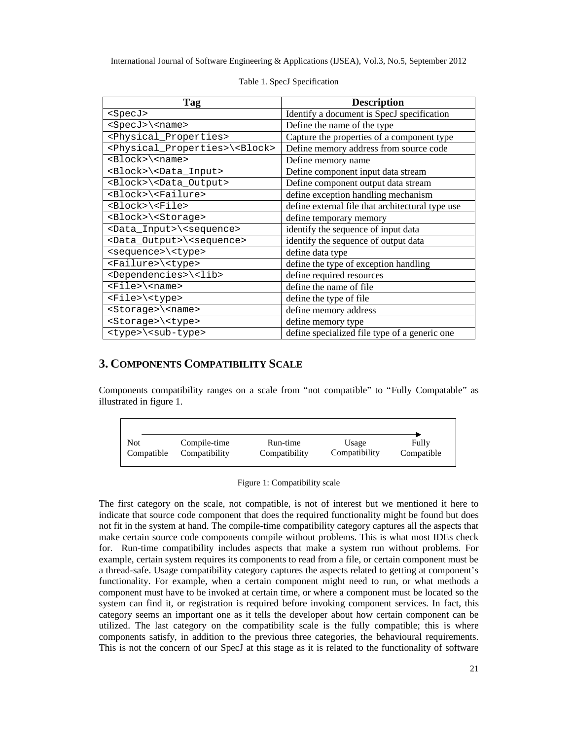| Tag                                                         | <b>Description</b>                               |  |
|-------------------------------------------------------------|--------------------------------------------------|--|
| <specj></specj>                                             | Identify a document is SpecJ specification       |  |
| <specj>\<name></name></specj>                               | Define the name of the type                      |  |
| <physical_properties></physical_properties>                 | Capture the properties of a component type       |  |
| <physical_properties>\<block></block></physical_properties> | Define memory address from source code           |  |
| <block>\<name></name></block>                               | Define memory name                               |  |
| <block>\<data_input></data_input></block>                   | Define component input data stream               |  |
| <block>\<data_output></data_output></block>                 | Define component output data stream              |  |
| <block>\<failure></failure></block>                         | define exception handling mechanism              |  |
| <block>\<file></file></block>                               | define external file that architectural type use |  |
| <block>\<storage></storage></block>                         | define temporary memory                          |  |
| <data_input>\<sequence></sequence></data_input>             | identify the sequence of input data              |  |
| <data_output>\<sequence></sequence></data_output>           | identify the sequence of output data             |  |
| <sequence>\<type></type></sequence>                         | define data type                                 |  |
| <failure>\<type></type></failure>                           | define the type of exception handling            |  |
| <dependencies>\<lib></lib></dependencies>                   | define required resources                        |  |
| <file>\<name></name></file>                                 | define the name of file                          |  |
| <file>\<type></type></file>                                 | define the type of file                          |  |
| <storage>\<name></name></storage>                           | define memory address                            |  |
| <storage>\<type></type></storage>                           | define memory type                               |  |
| <type>\<sub-type></sub-type></type>                         | define specialized file type of a generic one    |  |

Table 1. SpecJ Specification

# **3. COMPONENTS COMPATIBILITY SCALE**

Components compatibility ranges on a scale from "not compatible" to "Fully Compatable" as illustrated in figure 1.



Figure 1: Compatibility scale

The first category on the scale, not compatible, is not of interest but we mentioned it here to indicate that source code component that does the required functionality might be found but does not fit in the system at hand. The compile-time compatibility category captures all the aspects that make certain source code components compile without problems. This is what most IDEs check for. Run-time compatibility includes aspects that make a system run without problems. For example, certain system requires its components to read from a file, or certain component must be a thread-safe. Usage compatibility category captures the aspects related to getting at component's functionality. For example, when a certain component might need to run, or what methods a component must have to be invoked at certain time, or where a component must be located so the system can find it, or registration is required before invoking component services. In fact, this category seems an important one as it tells the developer about how certain component can be utilized. The last category on the compatibility scale is the fully compatible; this is where components satisfy, in addition to the previous three categories, the behavioural requirements. This is not the concern of our SpecJ at this stage as it is related to the functionality of software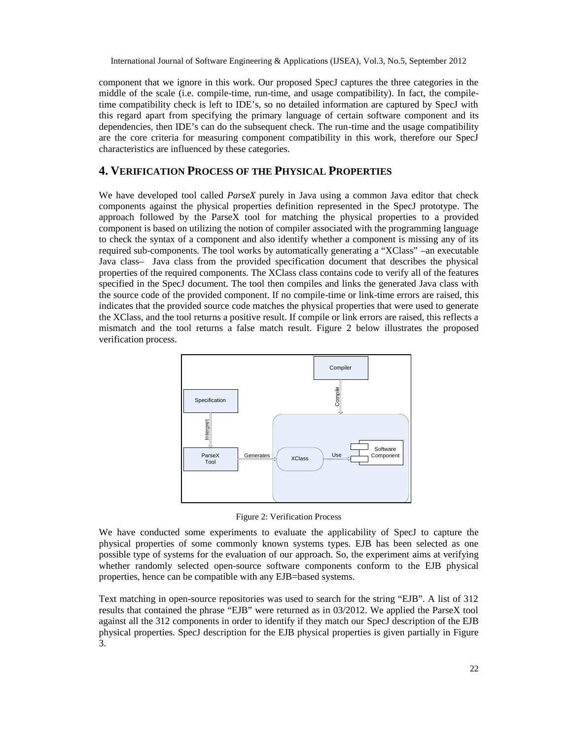component that we ignore in this work. Our proposed SpecJ captures the three categories in the middle of the scale (i.e. compile-time, run-time, and usage compatibility). In fact, the compiletime compatibility check is left to IDE's, so no detailed information are captured by SpecJ with this regard apart from specifying the primary language of certain software component and its dependencies, then IDE's can do the subsequent check. The run-time and the usage compatibility are the core criteria for measuring component compatibility in this work, therefore our SpecJ characteristics are influenced by these categories.

#### **4. VERIFICATION PROCESS OF THE PHYSICAL PROPERTIES**

We have developed tool called *ParseX* purely in Java using a common Java editor that check components against the physical properties definition represented in the SpecJ prototype. The approach followed by the ParseX tool for matching the physical properties to a provided component is based on utilizing the notion of compiler associated with the programming language to check the syntax of a component and also identify whether a component is missing any of its required sub-components. The tool works by automatically generating a "XClass" –an executable Java class– Java class from the provided specification document that describes the physical properties of the required components. The XClass class contains code to verify all of the features specified in the SpecJ document. The tool then compiles and links the generated Java class with the source code of the provided component. If no compile-time or link-time errors are raised, this indicates that the provided source code matches the physical properties that were used to generate the XClass, and the tool returns a positive result. If compile or link errors are raised, this reflects a mismatch and the tool returns a false match result. Figure 2 below illustrates the proposed verification process.



Figure 2: Verification Process

We have conducted some experiments to evaluate the applicability of SpecJ to capture the physical properties of some commonly known systems types. EJB has been selected as one possible type of systems for the evaluation of our approach. So, the experiment aims at verifying whether randomly selected open-source software components conform to the EJB physical properties, hence can be compatible with any EJB=based systems.

Text matching in open-source repositories was used to search for the string "EJB". A list of 312 results that contained the phrase "EJB" were returned as in 03/2012. We applied the ParseX tool against all the 312 components in order to identify if they match our SpecJ description of the EJB physical properties. SpecJ description for the EJB physical properties is given partially in Figure 3.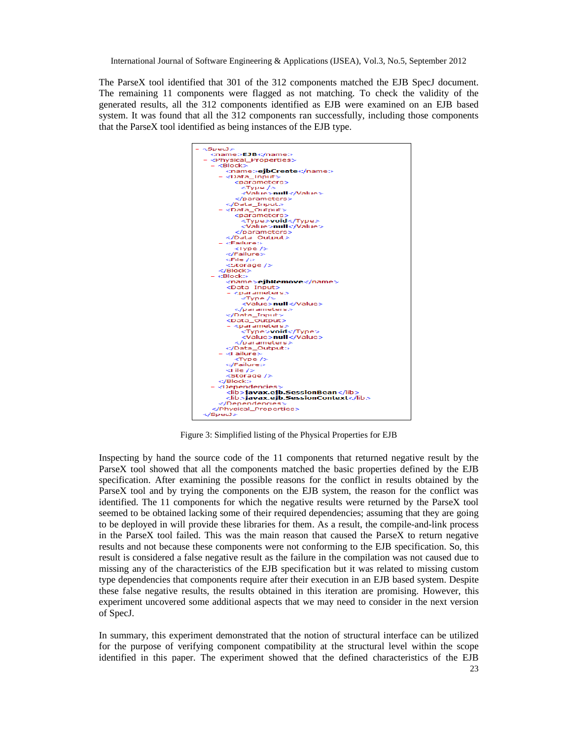The ParseX tool identified that 301 of the 312 components matched the EJB SpecJ document. The remaining 11 components were flagged as not matching. To check the validity of the generated results, all the 312 components identified as EJB were examined on an EJB based system. It was found that all the 312 components ran successfully, including those components that the ParseX tool identified as being instances of the EJB type.



Figure 3: Simplified listing of the Physical Properties for EJB

Inspecting by hand the source code of the 11 components that returned negative result by the ParseX tool showed that all the components matched the basic properties defined by the EJB specification. After examining the possible reasons for the conflict in results obtained by the ParseX tool and by trying the components on the EJB system, the reason for the conflict was identified. The 11 components for which the negative results were returned by the ParseX tool seemed to be obtained lacking some of their required dependencies; assuming that they are going to be deployed in will provide these libraries for them. As a result, the compile-and-link process in the ParseX tool failed. This was the main reason that caused the ParseX to return negative results and not because these components were not conforming to the EJB specification. So, this result is considered a false negative result as the failure in the compilation was not caused due to missing any of the characteristics of the EJB specification but it was related to missing custom type dependencies that components require after their execution in an EJB based system. Despite these false negative results, the results obtained in this iteration are promising. However, this experiment uncovered some additional aspects that we may need to consider in the next version of SpecJ.

In summary, this experiment demonstrated that the notion of structural interface can be utilized for the purpose of verifying component compatibility at the structural level within the scope identified in this paper. The experiment showed that the defined characteristics of the EJB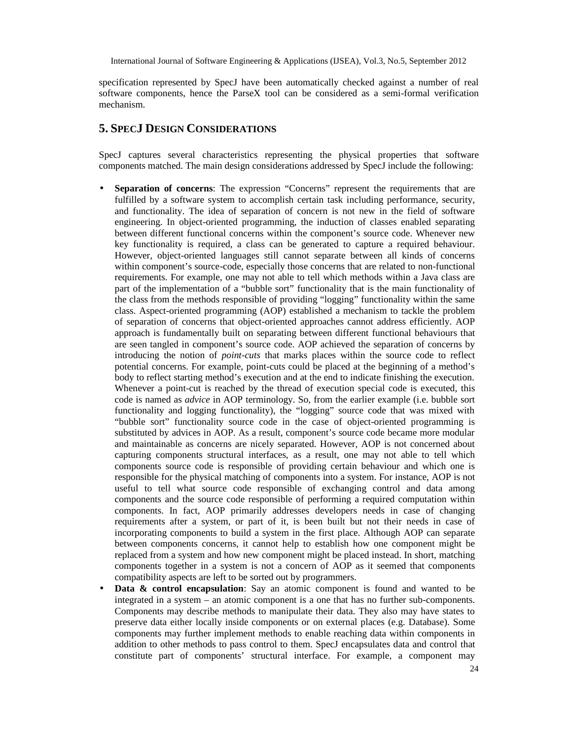specification represented by SpecJ have been automatically checked against a number of real software components, hence the ParseX tool can be considered as a semi-formal verification mechanism.

# **5. SPECJ DESIGN CONSIDERATIONS**

SpecJ captures several characteristics representing the physical properties that software components matched. The main design considerations addressed by SpecJ include the following:

- **Separation of concerns**: The expression "Concerns" represent the requirements that are fulfilled by a software system to accomplish certain task including performance, security, and functionality. The idea of separation of concern is not new in the field of software engineering. In object-oriented programming, the induction of classes enabled separating between different functional concerns within the component's source code. Whenever new key functionality is required, a class can be generated to capture a required behaviour. However, object-oriented languages still cannot separate between all kinds of concerns within component's source-code, especially those concerns that are related to non-functional requirements. For example, one may not able to tell which methods within a Java class are part of the implementation of a "bubble sort" functionality that is the main functionality of the class from the methods responsible of providing "logging" functionality within the same class. Aspect-oriented programming (AOP) established a mechanism to tackle the problem of separation of concerns that object-oriented approaches cannot address efficiently. AOP approach is fundamentally built on separating between different functional behaviours that are seen tangled in component's source code. AOP achieved the separation of concerns by introducing the notion of *point-cuts* that marks places within the source code to reflect potential concerns. For example, point-cuts could be placed at the beginning of a method's body to reflect starting method's execution and at the end to indicate finishing the execution. Whenever a point-cut is reached by the thread of execution special code is executed, this code is named as *advice* in AOP terminology. So, from the earlier example (i.e. bubble sort functionality and logging functionality), the "logging" source code that was mixed with "bubble sort" functionality source code in the case of object-oriented programming is substituted by advices in AOP. As a result, component's source code became more modular and maintainable as concerns are nicely separated. However, AOP is not concerned about capturing components structural interfaces, as a result, one may not able to tell which components source code is responsible of providing certain behaviour and which one is responsible for the physical matching of components into a system. For instance, AOP is not useful to tell what source code responsible of exchanging control and data among components and the source code responsible of performing a required computation within components. In fact, AOP primarily addresses developers needs in case of changing requirements after a system, or part of it, is been built but not their needs in case of incorporating components to build a system in the first place. Although AOP can separate between components concerns, it cannot help to establish how one component might be replaced from a system and how new component might be placed instead. In short, matching components together in a system is not a concern of AOP as it seemed that components compatibility aspects are left to be sorted out by programmers.
- **Data & control encapsulation**: Say an atomic component is found and wanted to be integrated in a system – an atomic component is a one that has no further sub-components. Components may describe methods to manipulate their data. They also may have states to preserve data either locally inside components or on external places (e.g. Database). Some components may further implement methods to enable reaching data within components in addition to other methods to pass control to them. SpecJ encapsulates data and control that constitute part of components' structural interface. For example, a component may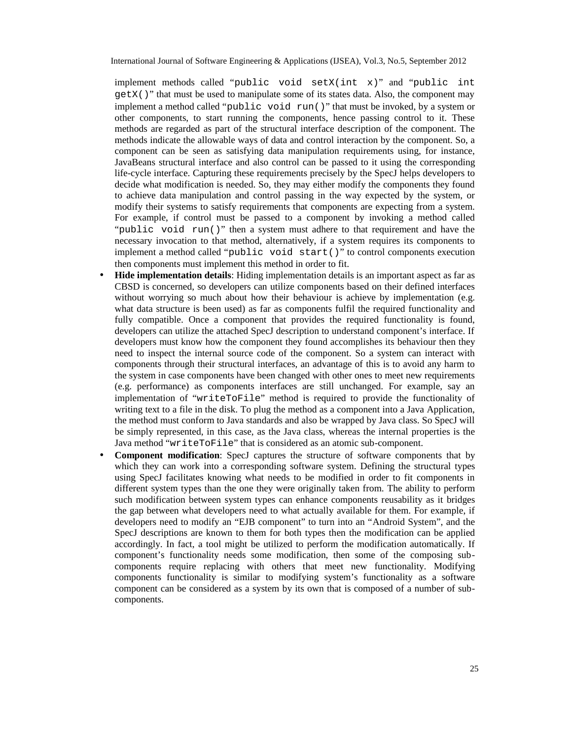implement methods called "public void setX(int x)" and "public int  $q$ etX()" that must be used to manipulate some of its states data. Also, the component may implement a method called "public void run()" that must be invoked, by a system or other components, to start running the components, hence passing control to it. These methods are regarded as part of the structural interface description of the component. The methods indicate the allowable ways of data and control interaction by the component. So, a component can be seen as satisfying data manipulation requirements using, for instance, JavaBeans structural interface and also control can be passed to it using the corresponding life-cycle interface. Capturing these requirements precisely by the SpecJ helps developers to decide what modification is needed. So, they may either modify the components they found to achieve data manipulation and control passing in the way expected by the system, or modify their systems to satisfy requirements that components are expecting from a system. For example, if control must be passed to a component by invoking a method called "public void run()" then a system must adhere to that requirement and have the necessary invocation to that method, alternatively, if a system requires its components to implement a method called "public void start()" to control components execution then components must implement this method in order to fit.

- **Hide implementation details**: Hiding implementation details is an important aspect as far as CBSD is concerned, so developers can utilize components based on their defined interfaces without worrying so much about how their behaviour is achieve by implementation (e.g. what data structure is been used) as far as components fulfil the required functionality and fully compatible. Once a component that provides the required functionality is found, developers can utilize the attached SpecJ description to understand component's interface. If developers must know how the component they found accomplishes its behaviour then they need to inspect the internal source code of the component. So a system can interact with components through their structural interfaces, an advantage of this is to avoid any harm to the system in case components have been changed with other ones to meet new requirements (e.g. performance) as components interfaces are still unchanged. For example, say an implementation of "writeToFile" method is required to provide the functionality of writing text to a file in the disk. To plug the method as a component into a Java Application, the method must conform to Java standards and also be wrapped by Java class. So SpecJ will be simply represented, in this case, as the Java class, whereas the internal properties is the Java method "writeToFile" that is considered as an atomic sub-component.
- **Component modification**: SpecJ captures the structure of software components that by which they can work into a corresponding software system. Defining the structural types using SpecJ facilitates knowing what needs to be modified in order to fit components in different system types than the one they were originally taken from. The ability to perform such modification between system types can enhance components reusability as it bridges the gap between what developers need to what actually available for them. For example, if developers need to modify an "EJB component" to turn into an "Android System", and the SpecJ descriptions are known to them for both types then the modification can be applied accordingly. In fact, a tool might be utilized to perform the modification automatically. If component's functionality needs some modification, then some of the composing subcomponents require replacing with others that meet new functionality. Modifying components functionality is similar to modifying system's functionality as a software component can be considered as a system by its own that is composed of a number of subcomponents.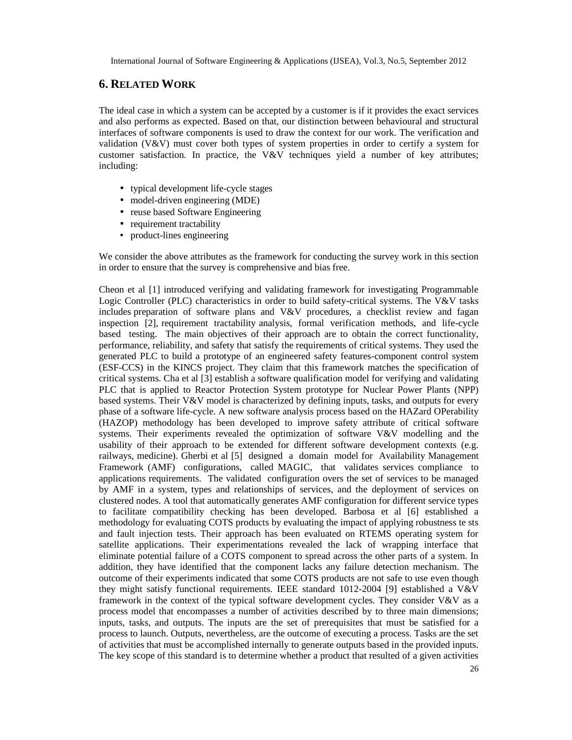# **6. RELATED WORK**

The ideal case in which a system can be accepted by a customer is if it provides the exact services and also performs as expected. Based on that, our distinction between behavioural and structural interfaces of software components is used to draw the context for our work. The verification and validation (V&V) must cover both types of system properties in order to certify a system for customer satisfaction. In practice, the V&V techniques yield a number of key attributes; including:

- typical development life-cycle stages
- model-driven engineering (MDE)
- reuse based Software Engineering
- requirement tractability
- product-lines engineering

We consider the above attributes as the framework for conducting the survey work in this section in order to ensure that the survey is comprehensive and bias free.

Cheon et al [1] introduced verifying and validating framework for investigating Programmable Logic Controller (PLC) characteristics in order to build safety-critical systems. The V&V tasks includes preparation of software plans and V&V procedures, a checklist review and fagan inspection [2], requirement tractability analysis, formal verification methods, and life-cycle based testing. The main objectives of their approach are to obtain the correct functionality, performance, reliability, and safety that satisfy the requirements of critical systems. They used the generated PLC to build a prototype of an engineered safety features-component control system (ESF-CCS) in the KINCS project. They claim that this framework matches the specification of critical systems. Cha et al [3] establish a software qualification model for verifying and validating PLC that is applied to Reactor Protection System prototype for Nuclear Power Plants (NPP) based systems. Their V&V model is characterized by defining inputs, tasks, and outputs for every phase of a software life-cycle. A new software analysis process based on the HAZard OPerability (HAZOP) methodology has been developed to improve safety attribute of critical software systems. Their experiments revealed the optimization of software V&V modelling and the usability of their approach to be extended for different software development contexts (e.g. railways, medicine). Gherbi et al [5] designed a domain model for Availability Management Framework (AMF) configurations, called MAGIC, that validates services compliance to applications requirements. The validated configuration overs the set of services to be managed by AMF in a system, types and relationships of services, and the deployment of services on clustered nodes. A tool that automatically generates AMF configuration for different service types to facilitate compatibility checking has been developed. Barbosa et al [6] established a methodology for evaluating COTS products by evaluating the impact of applying robustness te sts and fault injection tests. Their approach has been evaluated on RTEMS operating system for satellite applications. Their experimentations revealed the lack of wrapping interface that eliminate potential failure of a COTS component to spread across the other parts of a system. In addition, they have identified that the component lacks any failure detection mechanism. The outcome of their experiments indicated that some COTS products are not safe to use even though they might satisfy functional requirements. IEEE standard 1012-2004 [9] established a V&V framework in the context of the typical software development cycles. They consider V&V as a process model that encompasses a number of activities described by to three main dimensions; inputs, tasks, and outputs. The inputs are the set of prerequisites that must be satisfied for a process to launch. Outputs, nevertheless, are the outcome of executing a process. Tasks are the set of activities that must be accomplished internally to generate outputs based in the provided inputs. The key scope of this standard is to determine whether a product that resulted of a given activities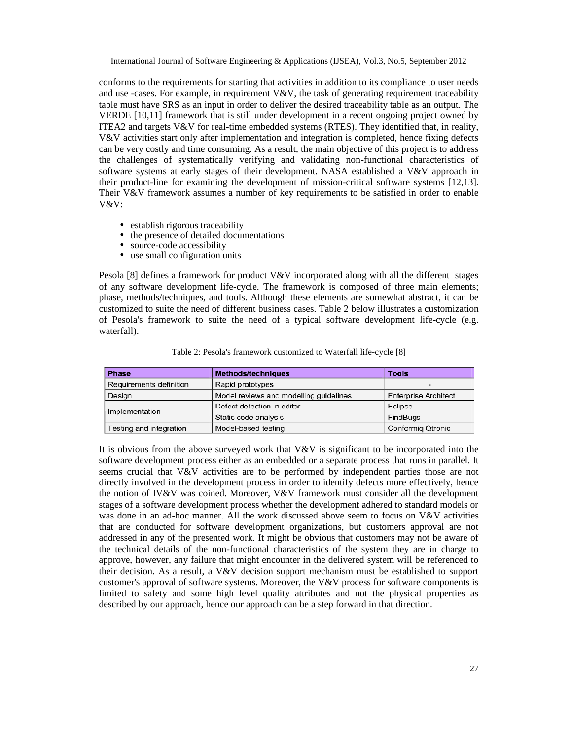conforms to the requirements for starting that activities in addition to its compliance to user needs and use -cases. For example, in requirement  $V&V$ , the task of generating requirement traceability table must have SRS as an input in order to deliver the desired traceability table as an output. The VERDE [10,11] framework that is still under development in a recent ongoing project owned by ITEA2 and targets V&V for real-time embedded systems (RTES). They identified that, in reality, V&V activities start only after implementation and integration is completed, hence fixing defects can be very costly and time consuming. As a result, the main objective of this project is to address the challenges of systematically verifying and validating non-functional characteristics of software systems at early stages of their development. NASA established a V&V approach in their product-line for examining the development of mission-critical software systems [12,13]. Their V&V framework assumes a number of key requirements to be satisfied in order to enable V&V:

- establish rigorous traceability
- the presence of detailed documentations
- source-code accessibility
- use small configuration units

Pesola [8] defines a framework for product V&V incorporated along with all the different stages of any software development life-cycle. The framework is composed of three main elements; phase, methods/techniques, and tools. Although these elements are somewhat abstract, it can be customized to suite the need of different business cases. Table 2 below illustrates a customization of Pesola's framework to suite the need of a typical software development life-cycle (e.g. waterfall).

| <b>Phase</b>            | Methods/techniques                     | Tools                       |
|-------------------------|----------------------------------------|-----------------------------|
| Requirements definition | Rapid prototypes                       | $\overline{\phantom{0}}$    |
| Design                  | Model reviews and modelling guidelines | <b>Enterprise Architect</b> |
| Implementation          | Defect detection in editor             | Eclipse                     |
|                         | Static code analysis                   | FindBugs                    |
| Testing and integration | Model-based testing                    | Conformig Qtronic           |

Table 2: Pesola's framework customized to Waterfall life-cycle [8]

It is obvious from the above surveyed work that  $V\&V$  is significant to be incorporated into the software development process either as an embedded or a separate process that runs in parallel. It seems crucial that V&V activities are to be performed by independent parties those are not directly involved in the development process in order to identify defects more effectively, hence the notion of IV&V was coined. Moreover, V&V framework must consider all the development stages of a software development process whether the development adhered to standard models or was done in an ad-hoc manner. All the work discussed above seem to focus on V&V activities that are conducted for software development organizations, but customers approval are not addressed in any of the presented work. It might be obvious that customers may not be aware of the technical details of the non-functional characteristics of the system they are in charge to approve, however, any failure that might encounter in the delivered system will be referenced to their decision. As a result, a V&V decision support mechanism must be established to support customer's approval of software systems. Moreover, the V&V process for software components is limited to safety and some high level quality attributes and not the physical properties as described by our approach, hence our approach can be a step forward in that direction.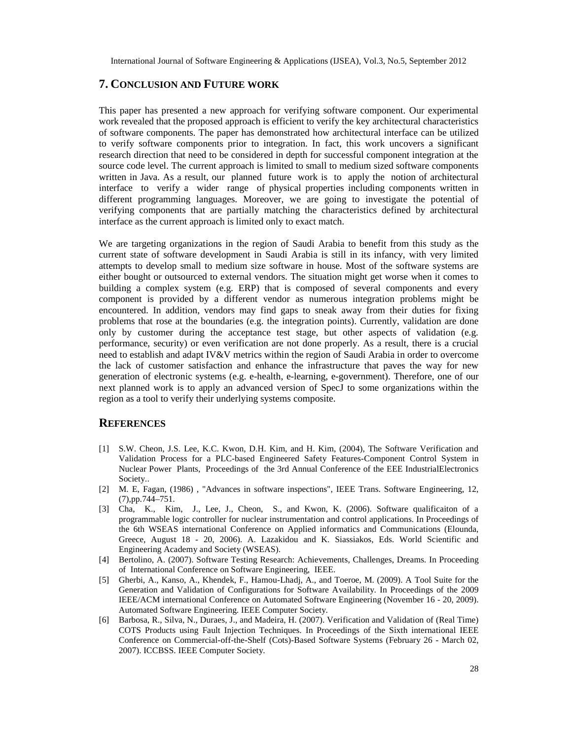## **7. CONCLUSION AND FUTURE WORK**

This paper has presented a new approach for verifying software component. Our experimental work revealed that the proposed approach is efficient to verify the key architectural characteristics of software components. The paper has demonstrated how architectural interface can be utilized to verify software components prior to integration. In fact, this work uncovers a significant research direction that need to be considered in depth for successful component integration at the source code level. The current approach is limited to small to medium sized software components written in Java. As a result, our planned future work is to apply the notion of architectural interface to verify a wider range of physical properties including components written in different programming languages. Moreover, we are going to investigate the potential of verifying components that are partially matching the characteristics defined by architectural interface as the current approach is limited only to exact match.

We are targeting organizations in the region of Saudi Arabia to benefit from this study as the current state of software development in Saudi Arabia is still in its infancy, with very limited attempts to develop small to medium size software in house. Most of the software systems are either bought or outsourced to external vendors. The situation might get worse when it comes to building a complex system (e.g. ERP) that is composed of several components and every component is provided by a different vendor as numerous integration problems might be encountered. In addition, vendors may find gaps to sneak away from their duties for fixing problems that rose at the boundaries (e.g. the integration points). Currently, validation are done only by customer during the acceptance test stage, but other aspects of validation (e.g. performance, security) or even verification are not done properly. As a result, there is a crucial need to establish and adapt IV&V metrics within the region of Saudi Arabia in order to overcome the lack of customer satisfaction and enhance the infrastructure that paves the way for new generation of electronic systems (e.g. e-health, e-learning, e-government). Therefore, one of our next planned work is to apply an advanced version of SpecJ to some organizations within the region as a tool to verify their underlying systems composite.

### **REFERENCES**

- [1] S.W. Cheon, J.S. Lee, K.C. Kwon, D.H. Kim, and H. Kim, (2004), The Software Verification and Validation Process for a PLC-based Engineered Safety Features-Component Control System in Nuclear Power Plants, Proceedings of the 3rd Annual Conference of the EEE IndustrialElectronics Society..
- [2] M. E, Fagan, (1986) , "Advances in software inspections", IEEE Trans. Software Engineering, 12, (7),pp.744–751.
- [3] Cha, K., Kim, J., Lee, J., Cheon, S., and Kwon, K. (2006). Software qualificaiton of a programmable logic controller for nuclear instrumentation and control applications. In Proceedings of the 6th WSEAS international Conference on Applied informatics and Communications (Elounda, Greece, August 18 - 20, 2006). A. Lazakidou and K. Siassiakos, Eds. World Scientific and Engineering Academy and Society (WSEAS).
- [4] Bertolino, A. (2007). Software Testing Research: Achievements, Challenges, Dreams. In Proceeding of International Conference on Software Engineering, IEEE.
- [5] Gherbi, A., Kanso, A., Khendek, F., Hamou-Lhadj, A., and Toeroe, M. (2009). A Tool Suite for the Generation and Validation of Configurations for Software Availability. In Proceedings of the 2009 IEEE/ACM international Conference on Automated Software Engineering (November 16 - 20, 2009). Automated Software Engineering. IEEE Computer Society.
- [6] Barbosa, R., Silva, N., Duraes, J., and Madeira, H. (2007). Verification and Validation of (Real Time) COTS Products using Fault Injection Techniques. In Proceedings of the Sixth international IEEE Conference on Commercial-off-the-Shelf (Cots)-Based Software Systems (February 26 - March 02, 2007). ICCBSS. IEEE Computer Society.